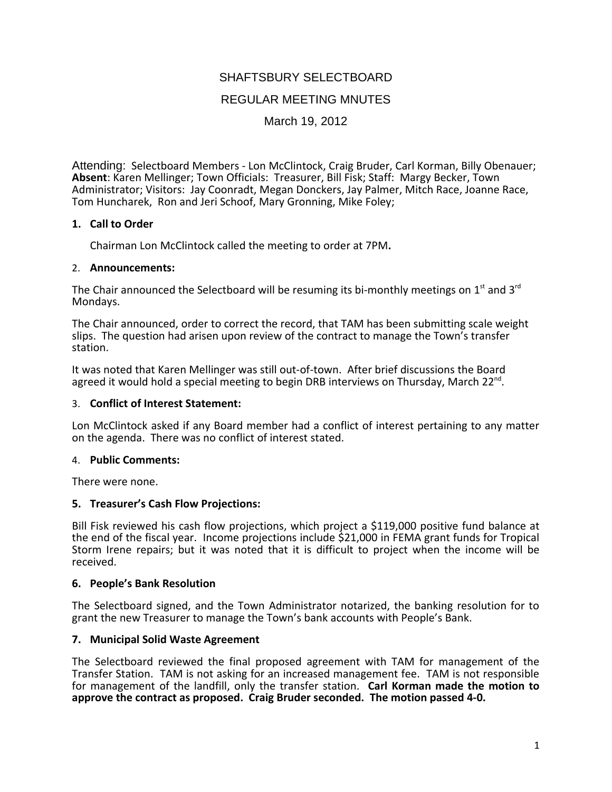# SHAFTSBURY SELECTBOARD

## REGULAR MEETING MNUTES

March 19, 2012

Attending: Selectboard Members ‐ Lon McClintock, Craig Bruder, Carl Korman, Billy Obenauer; **Absent**: Karen Mellinger; Town Officials: Treasurer, Bill Fisk; Staff: Margy Becker, Town Administrator; Visitors: Jay Coonradt, Megan Donckers, Jay Palmer, Mitch Race, Joanne Race, Tom Huncharek, Ron and Jeri Schoof, Mary Gronning, Mike Foley;

## **1. Call to Order**

Chairman Lon McClintock called the meeting to order at 7PM**.**

#### 2. **Announcements:**

The Chair announced the Selectboard will be resuming its bi-monthly meetings on  $1<sup>st</sup>$  and  $3<sup>rd</sup>$ Mondays.

The Chair announced, order to correct the record, that TAM has been submitting scale weight slips. The question had arisen upon review of the contract to manage the Town's transfer station.

It was noted that Karen Mellinger was still out‐of‐town. After brief discussions the Board agreed it would hold a special meeting to begin DRB interviews on Thursday, March  $22^{\text{nd}}$ .

#### 3. **Conflict of Interest Statement:**

Lon McClintock asked if any Board member had a conflict of interest pertaining to any matter on the agenda. There was no conflict of interest stated.

#### 4. **Public Comments:**

There were none.

#### **5. Treasurer's Cash Flow Projections:**

Bill Fisk reviewed his cash flow projections, which project a \$119,000 positive fund balance at the end of the fiscal year. Income projections include \$21,000 in FEMA grant funds for Tropical Storm Irene repairs; but it was noted that it is difficult to project when the income will be received.

#### **6. People's Bank Resolution**

The Selectboard signed, and the Town Administrator notarized, the banking resolution for to grant the new Treasurer to manage the Town's bank accounts with People's Bank.

#### **7. Municipal Solid Waste Agreement**

The Selectboard reviewed the final proposed agreement with TAM for management of the Transfer Station. TAM is not asking for an increased management fee. TAM is not responsible for management of the landfill, only the transfer station. **Carl Korman made the motion to approve the contract as proposed. Craig Bruder seconded. The motion passed 4‐0.**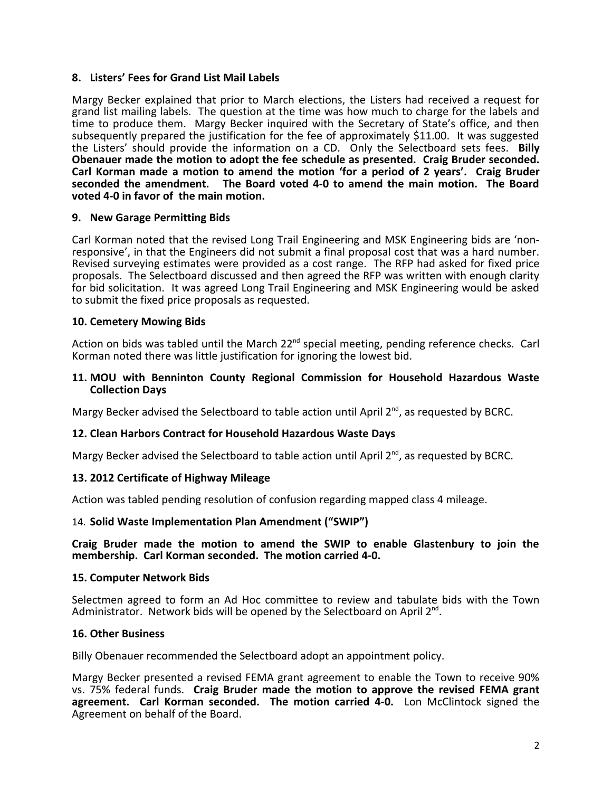## **8. Listers' Fees for Grand List Mail Labels**

Margy Becker explained that prior to March elections, the Listers had received a request for grand list mailing labels. The question at the time was how much to charge for the labels and time to produce them. Margy Becker inquired with the Secretary of State's office, and then subsequently prepared the justification for the fee of approximately \$11.00. It was suggested the Listers' should provide the information on a CD. Only the Selectboard sets fees. **Billy Obenauer made the motion to adopt the fee schedule as presented. Craig Bruder seconded. Carl Korman made a motion to amend the motion 'for a period of 2 years'. Craig Bruder seconded the amendment. The Board voted 4‐0 to amend the main motion. The Board voted 4‐0 in favor of the main motion.**

## **9. New Garage Permitting Bids**

Carl Korman noted that the revised Long Trail Engineering and MSK Engineering bids are 'non-<br>responsive', in that the Engineers did not submit a final proposal cost that was a hard number. Revised surveying estimates were provided as a cost range. The RFP had asked for fixed price proposals. The Selectboard discussed and then agreed the RFP was written with enough clarity for bid solicitation. It was agreed Long Trail Engineering and MSK Engineering would be asked to submit the fixed price proposals as requested.

## **10. Cemetery Mowing Bids**

Action on bids was tabled until the March 22<sup>nd</sup> special meeting, pending reference checks. Carl Korman noted there was little justification for ignoring the lowest bid.

#### **11. MOU with Benninton County Regional Commission for Household Hazardous Waste Collection Days**

Margy Becker advised the Selectboard to table action until April 2<sup>nd</sup>, as requested by BCRC.

#### **12. Clean Harbors Contract for Household Hazardous Waste Days**

Margy Becker advised the Selectboard to table action until April 2<sup>nd</sup>, as requested by BCRC.

#### **13. 2012 Certificate of Highway Mileage**

Action was tabled pending resolution of confusion regarding mapped class 4 mileage.

#### 14. **Solid Waste Implementation Plan Amendment ("SWIP")**

#### **Craig Bruder made the motion to amend the SWIP to enable Glastenbury to join the membership. Carl Korman seconded. The motion carried 4‐0.**

#### **15. Computer Network Bids**

Selectmen agreed to form an Ad Hoc committee to review and tabulate bids with the Town Administrator. Network bids will be opened by the Selectboard on April  $2^{nd}$ .

#### **16. Other Business**

Billy Obenauer recommended the Selectboard adopt an appointment policy.

Margy Becker presented a revised FEMA grant agreement to enable the Town to receive 90% vs. 75% federal funds. **Craig Bruder made the motion to approve the revised FEMA grant agreement. Carl Korman seconded. The motion carried 4‐0.** Lon McClintock signed the Agreement on behalf of the Board.